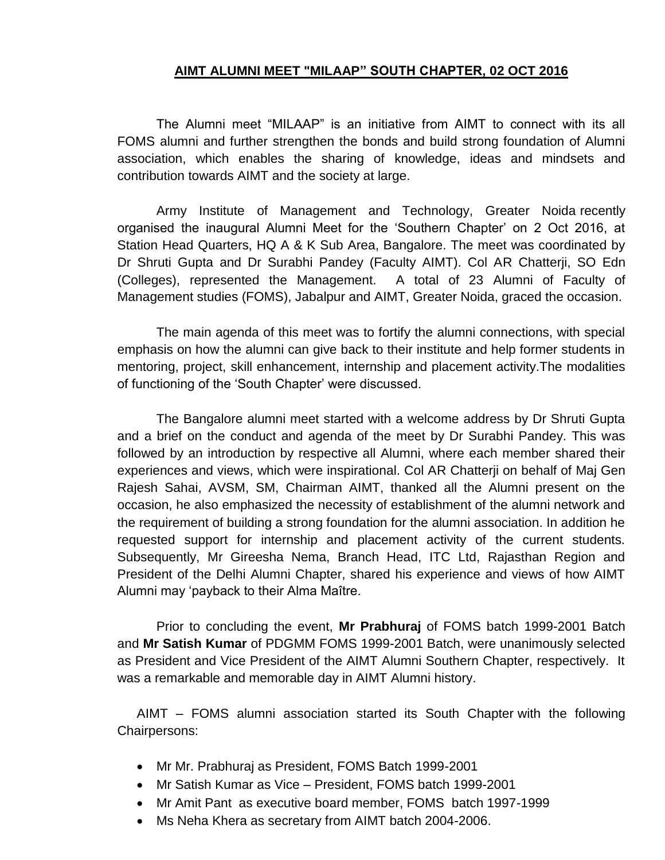## **AIMT ALUMNI MEET "MILAAP" SOUTH CHAPTER, 02 OCT 2016**

The Alumni meet "MILAAP" is an initiative from AIMT to connect with its all FOMS alumni and further strengthen the bonds and build strong foundation of Alumni association, which enables the sharing of knowledge, ideas and mindsets and contribution towards AIMT and the society at large.

Army Institute of Management and Technology, Greater Noida recently organised the inaugural Alumni Meet for the 'Southern Chapter' on 2 Oct 2016, at Station Head Quarters, HQ A & K Sub Area, Bangalore. The meet was coordinated by Dr Shruti Gupta and Dr Surabhi Pandey (Faculty AIMT). Col AR Chatterji, SO Edn (Colleges), represented the Management. A total of 23 Alumni of Faculty of Management studies (FOMS), Jabalpur and AIMT, Greater Noida, graced the occasion.

The main agenda of this meet was to fortify the alumni connections, with special emphasis on how the alumni can give back to their institute and help former students in mentoring, project, skill enhancement, internship and placement activity.The modalities of functioning of the 'South Chapter' were discussed.

The Bangalore alumni meet started with a welcome address by Dr Shruti Gupta and a brief on the conduct and agenda of the meet by Dr Surabhi Pandey. This was followed by an introduction by respective all Alumni, where each member shared their experiences and views, which were inspirational. Col AR Chatterji on behalf of Maj Gen Rajesh Sahai, AVSM, SM, Chairman AIMT, thanked all the Alumni present on the occasion, he also emphasized the necessity of establishment of the alumni network and the requirement of building a strong foundation for the alumni association. In addition he requested support for internship and placement activity of the current students. Subsequently, Mr Gireesha Nema, Branch Head, ITC Ltd, Rajasthan Region and President of the Delhi Alumni Chapter, shared his experience and views of how AIMT Alumni may 'payback to their Alma Maître.

Prior to concluding the event, **Mr Prabhuraj** of FOMS batch 1999-2001 Batch and **Mr Satish Kumar** of PDGMM FOMS 1999-2001 Batch, were unanimously selected as President and Vice President of the AIMT Alumni Southern Chapter, respectively. It was a remarkable and memorable day in AIMT Alumni history.

AIMT – FOMS alumni association started its South Chapter with the following Chairpersons:

- Mr Mr. Prabhuraj as President, FOMS Batch 1999-2001
- Mr Satish Kumar as Vice President, FOMS batch 1999-2001
- Mr Amit Pant as executive board member, FOMS batch 1997-1999
- Ms Neha Khera as secretary from AIMT batch 2004-2006.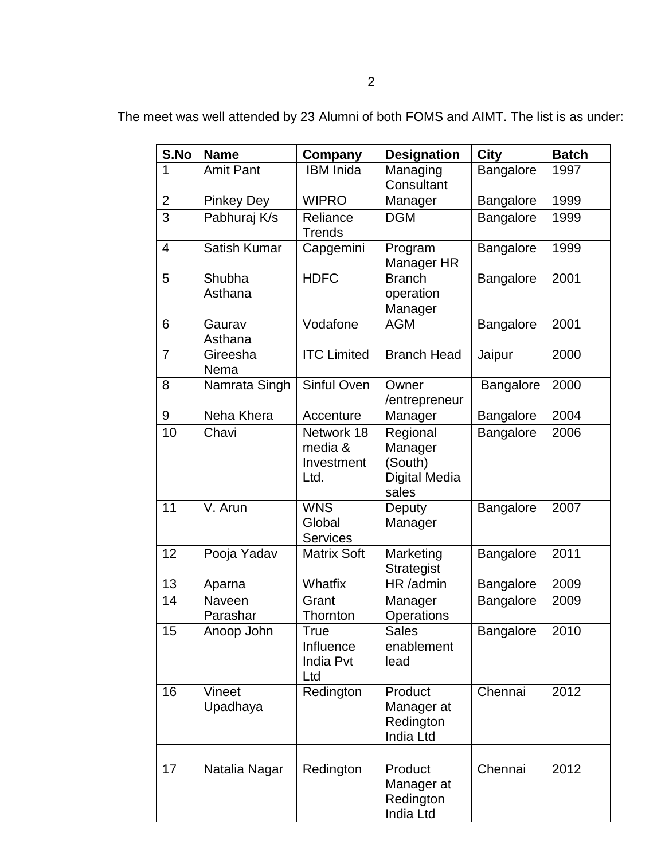| S.No           | <b>Name</b>        | Company                                     | <b>Designation</b>                                              | <b>City</b>      | <b>Batch</b> |
|----------------|--------------------|---------------------------------------------|-----------------------------------------------------------------|------------------|--------------|
| 1              | <b>Amit Pant</b>   | <b>IBM</b> Inida                            | Managing<br>Consultant                                          | Bangalore        | 1997         |
| $\overline{c}$ | <b>Pinkey Dey</b>  | <b>WIPRO</b>                                | Manager                                                         | Bangalore        | 1999         |
| $\overline{3}$ | Pabhuraj K/s       | Reliance<br><b>Trends</b>                   | <b>DGM</b>                                                      | Bangalore        | 1999         |
| 4              | Satish Kumar       | Capgemini                                   | Program<br>Manager HR                                           | Bangalore        | 1999         |
| 5              | Shubha<br>Asthana  | <b>HDFC</b>                                 | <b>Branch</b><br>operation<br>Manager                           | Bangalore        | 2001         |
| 6              | Gaurav<br>Asthana  | Vodafone                                    | <b>AGM</b>                                                      | Bangalore        | 2001         |
| $\overline{7}$ | Gireesha<br>Nema   | <b>ITC</b> Limited                          | <b>Branch Head</b>                                              | Jaipur           | 2000         |
| 8              | Namrata Singh      | Sinful Oven                                 | Owner<br>/entrepreneur                                          | Bangalore        | 2000         |
| 9              | Neha Khera         | Accenture                                   | Manager                                                         | Bangalore        | 2004         |
| 10             | Chavi              | Network 18<br>media &<br>Investment<br>Ltd. | Regional<br>Manager<br>(South)<br><b>Digital Media</b><br>sales | Bangalore        | 2006         |
| 11             | V. Arun            | <b>WNS</b><br>Global<br><b>Services</b>     | Deputy<br>Manager                                               | <b>Bangalore</b> | 2007         |
| 12             | Pooja Yadav        | <b>Matrix Soft</b>                          | Marketing<br><b>Strategist</b>                                  | Bangalore        | 2011         |
| 13             | Aparna             | Whatfix                                     | HR /admin                                                       | Bangalore        | 2009         |
| 14             | Naveen<br>Parashar | Grant<br>Thornton                           | Manager<br>Operations                                           | Bangalore        | 2009         |
| 15             | Anoop John         | True<br>Influence<br>India Pvt<br>Ltd       | <b>Sales</b><br>enablement<br>lead                              | Bangalore        | 2010         |
| 16             | Vineet<br>Upadhaya | Redington                                   | Product<br>Manager at<br>Redington<br>India Ltd                 | Chennai          | 2012         |
| 17             | Natalia Nagar      | Redington                                   | Product<br>Manager at<br>Redington                              | Chennai          | 2012         |

India Ltd

The meet was well attended by 23 Alumni of both FOMS and AIMT. The list is as under: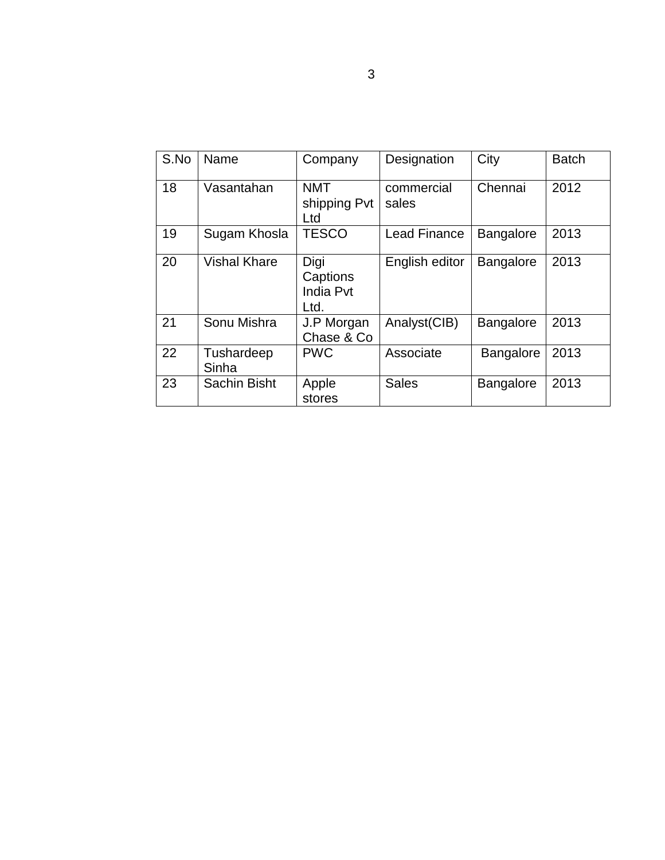| S.No | Name                | Company                               | Designation         | City             | <b>Batch</b> |
|------|---------------------|---------------------------------------|---------------------|------------------|--------------|
| 18   | Vasantahan          | <b>NMT</b><br>shipping Pvt<br>Ltd     | commercial<br>sales | Chennai          | 2012         |
| 19   | Sugam Khosla        | <b>TESCO</b>                          | <b>Lead Finance</b> | Bangalore        | 2013         |
| 20   | <b>Vishal Khare</b> | Digi<br>Captions<br>India Pvt<br>Ltd. | English editor      | <b>Bangalore</b> | 2013         |
| 21   | Sonu Mishra         | J.P Morgan<br>Chase & Co              | Analyst(CIB)        | Bangalore        | 2013         |
| 22   | Tushardeep<br>Sinha | <b>PWC</b>                            | Associate           | <b>Bangalore</b> | 2013         |
| 23   | Sachin Bisht        | Apple<br>stores                       | <b>Sales</b>        | Bangalore        | 2013         |